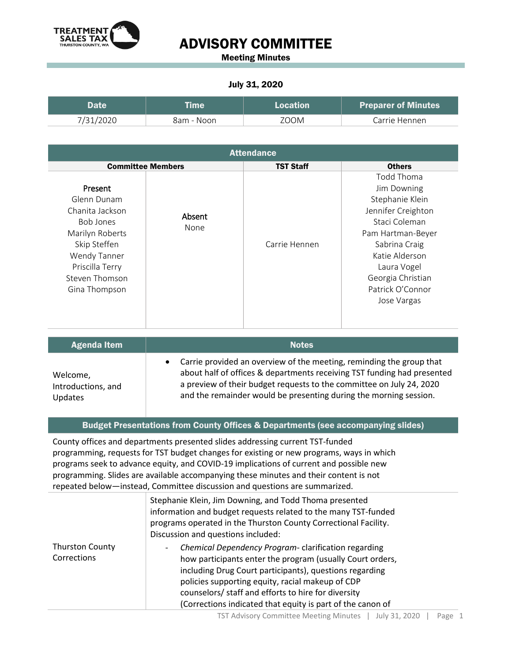

Meeting Minutes

#### July 31, 2020

| Date      | <b>Time</b> | Location | <b>Preparer of Minutes</b> |
|-----------|-------------|----------|----------------------------|
| 7/31/2020 | 8am - Noon  | ZOOM     | Carrie Hennen              |

| <b>Attendance</b>                                                                                                                                                      |                |                  |                                                                                                                                                                                                                    |
|------------------------------------------------------------------------------------------------------------------------------------------------------------------------|----------------|------------------|--------------------------------------------------------------------------------------------------------------------------------------------------------------------------------------------------------------------|
| <b>Committee Members</b>                                                                                                                                               |                | <b>TST Staff</b> | <b>Others</b>                                                                                                                                                                                                      |
| Present<br>Glenn Dunam<br>Chanita Jackson<br><b>Bob Jones</b><br>Marilyn Roberts<br>Skip Steffen<br>Wendy Tanner<br>Priscilla Terry<br>Steven Thomson<br>Gina Thompson | Absent<br>None | Carrie Hennen    | Todd Thoma<br>Jim Downing<br>Stephanie Klein<br>Jennifer Creighton<br>Staci Coleman<br>Pam Hartman-Beyer<br>Sabrina Craig<br>Katie Alderson<br>Laura Vogel<br>Georgia Christian<br>Patrick O'Connor<br>Jose Vargas |

| <b>Agenda Item</b>                               | <b>Notes</b>                                                                                                                                                                                                                                                                                   |  |
|--------------------------------------------------|------------------------------------------------------------------------------------------------------------------------------------------------------------------------------------------------------------------------------------------------------------------------------------------------|--|
| Welcome,<br>Introductions, and<br><b>Updates</b> | • Carrie provided an overview of the meeting, reminding the group that<br>about half of offices & departments receiving TST funding had presented<br>a preview of their budget requests to the committee on July 24, 2020<br>and the remainder would be presenting during the morning session. |  |

#### Budget Presentations from County Offices & Departments (see accompanying slides)

County offices and departments presented slides addressing current TST-funded programming, requests for TST budget changes for existing or new programs, ways in which programs seek to advance equity, and COVID-19 implications of current and possible new programming. Slides are available accompanying these minutes and their content is not repeated below—instead, Committee discussion and questions are summarized.

|                                       | Stephanie Klein, Jim Downing, and Todd Thoma presented<br>information and budget requests related to the many TST-funded<br>programs operated in the Thurston County Correctional Facility.<br>Discussion and questions included:                                                                                                                         |  |
|---------------------------------------|-----------------------------------------------------------------------------------------------------------------------------------------------------------------------------------------------------------------------------------------------------------------------------------------------------------------------------------------------------------|--|
| <b>Thurston County</b><br>Corrections | Chemical Dependency Program-clarification regarding<br>-<br>how participants enter the program (usually Court orders,<br>including Drug Court participants), questions regarding<br>policies supporting equity, racial makeup of CDP<br>counselors/ staff and efforts to hire for diversity<br>(Corrections indicated that equity is part of the canon of |  |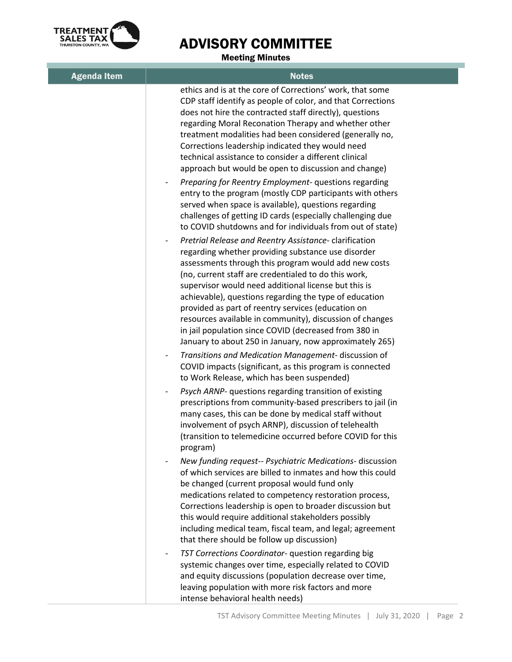

Meeting Minutes

| <b>Agenda Item</b> | <b>Notes</b>                                                                                                                                                                                                                                                                                                                                                                                                                                                                                                                                                                         |
|--------------------|--------------------------------------------------------------------------------------------------------------------------------------------------------------------------------------------------------------------------------------------------------------------------------------------------------------------------------------------------------------------------------------------------------------------------------------------------------------------------------------------------------------------------------------------------------------------------------------|
|                    | ethics and is at the core of Corrections' work, that some<br>CDP staff identify as people of color, and that Corrections<br>does not hire the contracted staff directly), questions<br>regarding Moral Reconation Therapy and whether other<br>treatment modalities had been considered (generally no,<br>Corrections leadership indicated they would need<br>technical assistance to consider a different clinical<br>approach but would be open to discussion and change)                                                                                                          |
|                    | Preparing for Reentry Employment- questions regarding<br>entry to the program (mostly CDP participants with others<br>served when space is available), questions regarding<br>challenges of getting ID cards (especially challenging due<br>to COVID shutdowns and for individuals from out of state)                                                                                                                                                                                                                                                                                |
|                    | Pretrial Release and Reentry Assistance- clarification<br>regarding whether providing substance use disorder<br>assessments through this program would add new costs<br>(no, current staff are credentialed to do this work,<br>supervisor would need additional license but this is<br>achievable), questions regarding the type of education<br>provided as part of reentry services (education on<br>resources available in community), discussion of changes<br>in jail population since COVID (decreased from 380 in<br>January to about 250 in January, now approximately 265) |
|                    | Transitions and Medication Management-discussion of<br>$\overline{\phantom{0}}$<br>COVID impacts (significant, as this program is connected<br>to Work Release, which has been suspended)                                                                                                                                                                                                                                                                                                                                                                                            |
|                    | Psych ARNP- questions regarding transition of existing<br>prescriptions from community-based prescribers to jail (in<br>many cases, this can be done by medical staff without<br>involvement of psych ARNP), discussion of telehealth<br>(transition to telemedicine occurred before COVID for this<br>program)                                                                                                                                                                                                                                                                      |
|                    | New funding request-- Psychiatric Medications- discussion<br>of which services are billed to inmates and how this could<br>be changed (current proposal would fund only<br>medications related to competency restoration process,<br>Corrections leadership is open to broader discussion but<br>this would require additional stakeholders possibly<br>including medical team, fiscal team, and legal; agreement<br>that there should be follow up discussion)                                                                                                                      |
|                    | TST Corrections Coordinator- question regarding big<br>$\qquad \qquad -$<br>systemic changes over time, especially related to COVID<br>and equity discussions (population decrease over time,<br>leaving population with more risk factors and more<br>intense behavioral health needs)                                                                                                                                                                                                                                                                                              |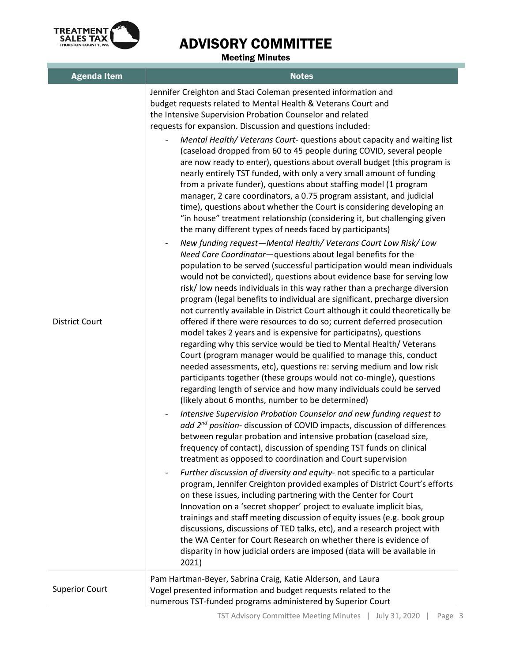

Meeting Minutes

| <b>Agenda Item</b>    | <b>Notes</b>                                                                                                                                                                                                                                                                                                                                                                                                                                                                                                                                                                                                                                                                                                                                                                                                                                                                                                                                                                                                                                    |
|-----------------------|-------------------------------------------------------------------------------------------------------------------------------------------------------------------------------------------------------------------------------------------------------------------------------------------------------------------------------------------------------------------------------------------------------------------------------------------------------------------------------------------------------------------------------------------------------------------------------------------------------------------------------------------------------------------------------------------------------------------------------------------------------------------------------------------------------------------------------------------------------------------------------------------------------------------------------------------------------------------------------------------------------------------------------------------------|
| <b>District Court</b> | Jennifer Creighton and Staci Coleman presented information and<br>budget requests related to Mental Health & Veterans Court and<br>the Intensive Supervision Probation Counselor and related<br>requests for expansion. Discussion and questions included:<br>Mental Health/ Veterans Court- questions about capacity and waiting list                                                                                                                                                                                                                                                                                                                                                                                                                                                                                                                                                                                                                                                                                                          |
|                       | (caseload dropped from 60 to 45 people during COVID, several people<br>are now ready to enter), questions about overall budget (this program is<br>nearly entirely TST funded, with only a very small amount of funding<br>from a private funder), questions about staffing model (1 program<br>manager, 2 care coordinators, a 0.75 program assistant, and judicial<br>time), questions about whether the Court is considering developing an<br>"in house" treatment relationship (considering it, but challenging given<br>the many different types of needs faced by participants)                                                                                                                                                                                                                                                                                                                                                                                                                                                           |
|                       | New funding request-Mental Health/Veterans Court Low Risk/Low<br>Need Care Coordinator-questions about legal benefits for the<br>population to be served (successful participation would mean individuals<br>would not be convicted), questions about evidence base for serving low<br>risk/ low needs individuals in this way rather than a precharge diversion<br>program (legal benefits to individual are significant, precharge diversion<br>not currently available in District Court although it could theoretically be<br>offered if there were resources to do so; current deferred prosecution<br>model takes 2 years and is expensive for participatns), questions<br>regarding why this service would be tied to Mental Health/ Veterans<br>Court (program manager would be qualified to manage this, conduct<br>needed assessments, etc), questions re: serving medium and low risk<br>participants together (these groups would not co-mingle), questions<br>regarding length of service and how many individuals could be served |
|                       | (likely about 6 months, number to be determined)<br>Intensive Supervision Probation Counselor and new funding request to<br>$\overline{\phantom{a}}$<br>add 2 <sup>nd</sup> position- discussion of COVID impacts, discussion of differences<br>between regular probation and intensive probation (caseload size,<br>frequency of contact), discussion of spending TST funds on clinical<br>treatment as opposed to coordination and Court supervision                                                                                                                                                                                                                                                                                                                                                                                                                                                                                                                                                                                          |
|                       | Further discussion of diversity and equity- not specific to a particular<br>program, Jennifer Creighton provided examples of District Court's efforts<br>on these issues, including partnering with the Center for Court<br>Innovation on a 'secret shopper' project to evaluate implicit bias,<br>trainings and staff meeting discussion of equity issues (e.g. book group<br>discussions, discussions of TED talks, etc), and a research project with<br>the WA Center for Court Research on whether there is evidence of<br>disparity in how judicial orders are imposed (data will be available in<br>2021)                                                                                                                                                                                                                                                                                                                                                                                                                                 |
| <b>Superior Court</b> | Pam Hartman-Beyer, Sabrina Craig, Katie Alderson, and Laura<br>Vogel presented information and budget requests related to the<br>numerous TST-funded programs administered by Superior Court                                                                                                                                                                                                                                                                                                                                                                                                                                                                                                                                                                                                                                                                                                                                                                                                                                                    |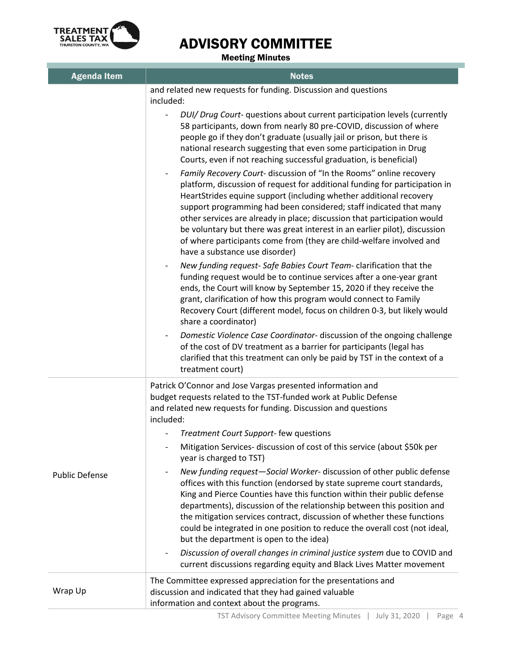

Meeting Minutes

| <b>Agenda Item</b>    | <b>Notes</b>                                                                                                                                                                                                                                                                                                                                                                                                                                                                                                                                                                                                                                                                                                                                                                                                                     |
|-----------------------|----------------------------------------------------------------------------------------------------------------------------------------------------------------------------------------------------------------------------------------------------------------------------------------------------------------------------------------------------------------------------------------------------------------------------------------------------------------------------------------------------------------------------------------------------------------------------------------------------------------------------------------------------------------------------------------------------------------------------------------------------------------------------------------------------------------------------------|
|                       | and related new requests for funding. Discussion and questions<br>included:                                                                                                                                                                                                                                                                                                                                                                                                                                                                                                                                                                                                                                                                                                                                                      |
|                       | DUI/ Drug Court- questions about current participation levels (currently<br>58 participants, down from nearly 80 pre-COVID, discussion of where<br>people go if they don't graduate (usually jail or prison, but there is<br>national research suggesting that even some participation in Drug<br>Courts, even if not reaching successful graduation, is beneficial)<br>Family Recovery Court- discussion of "In the Rooms" online recovery<br>platform, discussion of request for additional funding for participation in<br>HeartStrides equine support (including whether additional recovery<br>support programming had been considered; staff indicated that many<br>other services are already in place; discussion that participation would<br>be voluntary but there was great interest in an earlier pilot), discussion |
|                       | of where participants come from (they are child-welfare involved and<br>have a substance use disorder)                                                                                                                                                                                                                                                                                                                                                                                                                                                                                                                                                                                                                                                                                                                           |
|                       | New funding request- Safe Babies Court Team- clarification that the<br>funding request would be to continue services after a one-year grant<br>ends, the Court will know by September 15, 2020 if they receive the<br>grant, clarification of how this program would connect to Family<br>Recovery Court (different model, focus on children 0-3, but likely would<br>share a coordinator)                                                                                                                                                                                                                                                                                                                                                                                                                                       |
|                       | Domestic Violence Case Coordinator- discussion of the ongoing challenge<br>of the cost of DV treatment as a barrier for participants (legal has<br>clarified that this treatment can only be paid by TST in the context of a<br>treatment court)                                                                                                                                                                                                                                                                                                                                                                                                                                                                                                                                                                                 |
|                       | Patrick O'Connor and Jose Vargas presented information and<br>budget requests related to the TST-funded work at Public Defense<br>and related new requests for funding. Discussion and questions<br>included:<br>Treatment Court Support- few questions<br>Mitigation Services- discussion of cost of this service (about \$50k per<br>year is charged to TST)                                                                                                                                                                                                                                                                                                                                                                                                                                                                   |
| <b>Public Defense</b> | New funding request-Social Worker- discussion of other public defense<br>offices with this function (endorsed by state supreme court standards,<br>King and Pierce Counties have this function within their public defense<br>departments), discussion of the relationship between this position and<br>the mitigation services contract, discussion of whether these functions<br>could be integrated in one position to reduce the overall cost (not ideal,<br>but the department is open to the idea)<br>Discussion of overall changes in criminal justice system due to COVID and<br>$\overline{\phantom{a}}$<br>current discussions regarding equity and Black Lives Matter movement                                                                                                                                        |
| Wrap Up               | The Committee expressed appreciation for the presentations and<br>discussion and indicated that they had gained valuable<br>information and context about the programs.                                                                                                                                                                                                                                                                                                                                                                                                                                                                                                                                                                                                                                                          |